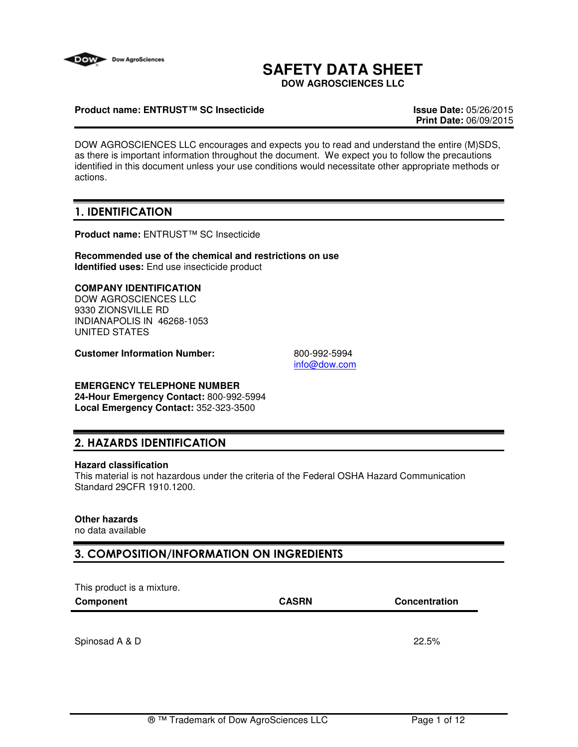

# **SAFETY DATA SHEET**

**DOW AGROSCIENCES LLC**

## **Product name: ENTRUST™ SC Insecticide Issue Date:** 05/26/2015

**Print Date:** 06/09/2015

DOW AGROSCIENCES LLC encourages and expects you to read and understand the entire (M)SDS, as there is important information throughout the document. We expect you to follow the precautions identified in this document unless your use conditions would necessitate other appropriate methods or actions.

# 1. IDENTIFICATION

**Product name:** ENTRUST™ SC Insecticide

**Recommended use of the chemical and restrictions on use Identified uses:** End use insecticide product

## **COMPANY IDENTIFICATION**

DOW AGROSCIENCES LLC 9330 ZIONSVILLE RD INDIANAPOLIS IN 46268-1053 UNITED STATES

**Customer Information Number:** 800-992-5994

info@dow.com

# **EMERGENCY TELEPHONE NUMBER**

**24-Hour Emergency Contact:** 800-992-5994 **Local Emergency Contact:** 352-323-3500

# 2. HAZARDS IDENTIFICATION

#### **Hazard classification**

This material is not hazardous under the criteria of the Federal OSHA Hazard Communication Standard 29CFR 1910.1200.

# **Other hazards**

no data available

# 3. COMPOSITION/INFORMATION ON INGREDIENTS

This product is a mixture. **Component CASRN Concentration** Spinosad A & D 22.5%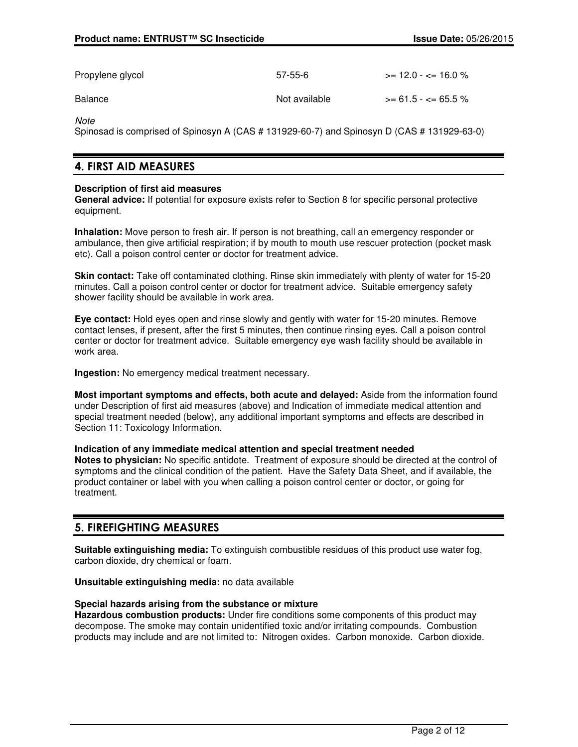| Propylene glycol | 57-55-6       | $\ge$ = 12.0 - $\lt$ = 16.0 % |
|------------------|---------------|-------------------------------|
| Balance          | Not available | $>= 61.5 - <= 65.5 \%$        |

**Note** 

Spinosad is comprised of Spinosyn A (CAS # 131929-60-7) and Spinosyn D (CAS # 131929-63-0)

# 4. FIRST AID MEASURES

#### **Description of first aid measures**

**General advice:** If potential for exposure exists refer to Section 8 for specific personal protective equipment.

**Inhalation:** Move person to fresh air. If person is not breathing, call an emergency responder or ambulance, then give artificial respiration; if by mouth to mouth use rescuer protection (pocket mask etc). Call a poison control center or doctor for treatment advice.

**Skin contact:** Take off contaminated clothing. Rinse skin immediately with plenty of water for 15-20 minutes. Call a poison control center or doctor for treatment advice. Suitable emergency safety shower facility should be available in work area.

**Eye contact:** Hold eyes open and rinse slowly and gently with water for 15-20 minutes. Remove contact lenses, if present, after the first 5 minutes, then continue rinsing eyes. Call a poison control center or doctor for treatment advice. Suitable emergency eye wash facility should be available in work area.

**Ingestion:** No emergency medical treatment necessary.

**Most important symptoms and effects, both acute and delayed:** Aside from the information found under Description of first aid measures (above) and Indication of immediate medical attention and special treatment needed (below), any additional important symptoms and effects are described in Section 11: Toxicology Information.

# **Indication of any immediate medical attention and special treatment needed**

**Notes to physician:** No specific antidote. Treatment of exposure should be directed at the control of symptoms and the clinical condition of the patient. Have the Safety Data Sheet, and if available, the product container or label with you when calling a poison control center or doctor, or going for treatment.

# 5. FIREFIGHTING MEASURES

**Suitable extinguishing media:** To extinguish combustible residues of this product use water fog, carbon dioxide, dry chemical or foam.

**Unsuitable extinguishing media:** no data available

#### **Special hazards arising from the substance or mixture**

**Hazardous combustion products:** Under fire conditions some components of this product may decompose. The smoke may contain unidentified toxic and/or irritating compounds. Combustion products may include and are not limited to: Nitrogen oxides. Carbon monoxide. Carbon dioxide.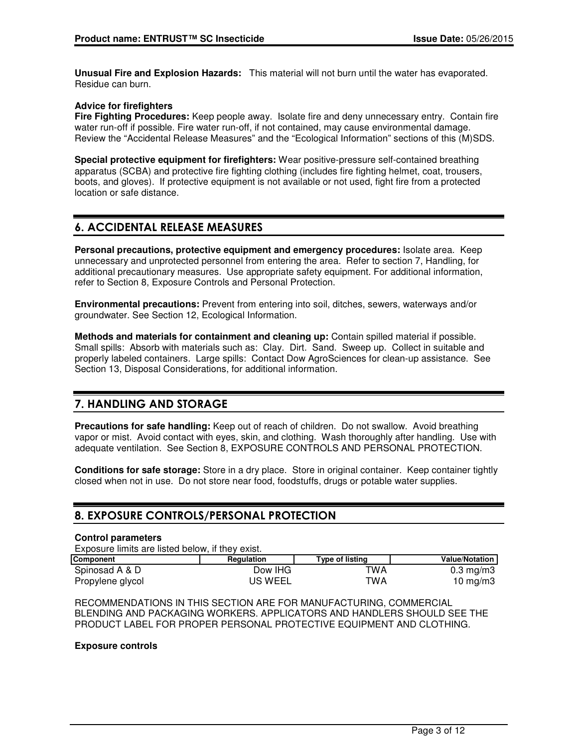**Unusual Fire and Explosion Hazards:** This material will not burn until the water has evaporated. Residue can burn.

## **Advice for firefighters**

**Fire Fighting Procedures:** Keep people away. Isolate fire and deny unnecessary entry. Contain fire water run-off if possible. Fire water run-off, if not contained, may cause environmental damage. Review the "Accidental Release Measures" and the "Ecological Information" sections of this (M)SDS.

**Special protective equipment for firefighters:** Wear positive-pressure self-contained breathing apparatus (SCBA) and protective fire fighting clothing (includes fire fighting helmet, coat, trousers, boots, and gloves). If protective equipment is not available or not used, fight fire from a protected location or safe distance.

# 6. ACCIDENTAL RELEASE MEASURES

**Personal precautions, protective equipment and emergency procedures:** Isolate area. Keep unnecessary and unprotected personnel from entering the area. Refer to section 7, Handling, for additional precautionary measures. Use appropriate safety equipment. For additional information, refer to Section 8, Exposure Controls and Personal Protection.

**Environmental precautions:** Prevent from entering into soil, ditches, sewers, waterways and/or groundwater. See Section 12, Ecological Information.

**Methods and materials for containment and cleaning up:** Contain spilled material if possible. Small spills: Absorb with materials such as: Clay. Dirt. Sand. Sweep up. Collect in suitable and properly labeled containers. Large spills: Contact Dow AgroSciences for clean-up assistance. See Section 13, Disposal Considerations, for additional information.

# 7. HANDLING AND STORAGE

**Precautions for safe handling:** Keep out of reach of children. Do not swallow. Avoid breathing vapor or mist. Avoid contact with eyes, skin, and clothing. Wash thoroughly after handling. Use with adequate ventilation. See Section 8, EXPOSURE CONTROLS AND PERSONAL PROTECTION.

**Conditions for safe storage:** Store in a dry place. Store in original container. Keep container tightly closed when not in use. Do not store near food, foodstuffs, drugs or potable water supplies.

# 8. EXPOSURE CONTROLS/PERSONAL PROTECTION

#### **Control parameters**

Exposure limits are listed below, if they exist.

| <b>Component</b> | <b>Regulation</b> | Type of listing | <b>Value/Notation</b> |
|------------------|-------------------|-----------------|-----------------------|
| Spinosad A & D   | Dow IHG           | TWA             | $0.3 \text{ mg/m}$    |
| Propylene glycol | US WEEL           | TWA             | 10 mg/m $3$           |

RECOMMENDATIONS IN THIS SECTION ARE FOR MANUFACTURING, COMMERCIAL BLENDING AND PACKAGING WORKERS. APPLICATORS AND HANDLERS SHOULD SEE THE PRODUCT LABEL FOR PROPER PERSONAL PROTECTIVE EQUIPMENT AND CLOTHING.

#### **Exposure controls**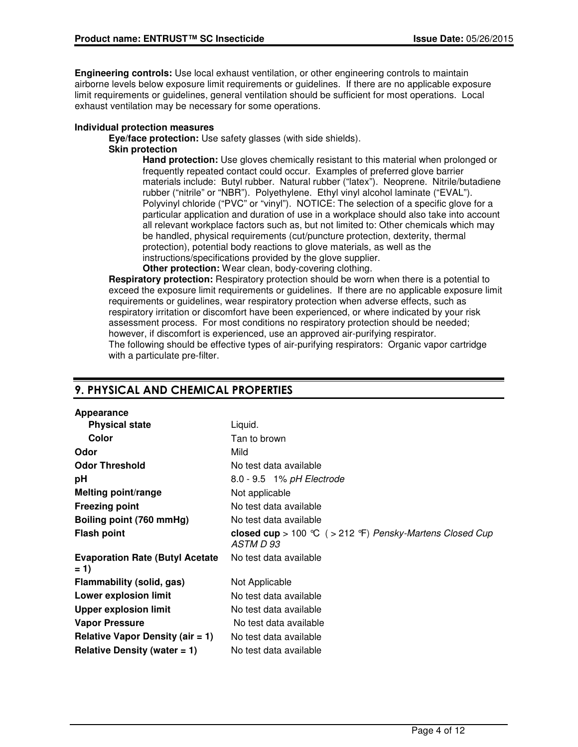**Engineering controls:** Use local exhaust ventilation, or other engineering controls to maintain airborne levels below exposure limit requirements or guidelines. If there are no applicable exposure limit requirements or guidelines, general ventilation should be sufficient for most operations. Local exhaust ventilation may be necessary for some operations.

## **Individual protection measures**

**Eye/face protection:** Use safety glasses (with side shields).

# **Skin protection**

**Hand protection:** Use gloves chemically resistant to this material when prolonged or frequently repeated contact could occur. Examples of preferred glove barrier materials include: Butyl rubber. Natural rubber ("latex"). Neoprene. Nitrile/butadiene rubber ("nitrile" or "NBR"). Polyethylene. Ethyl vinyl alcohol laminate ("EVAL"). Polyvinyl chloride ("PVC" or "vinyl"). NOTICE: The selection of a specific glove for a particular application and duration of use in a workplace should also take into account all relevant workplace factors such as, but not limited to: Other chemicals which may be handled, physical requirements (cut/puncture protection, dexterity, thermal protection), potential body reactions to glove materials, as well as the instructions/specifications provided by the glove supplier.

**Other protection:** Wear clean, body-covering clothing.

**Respiratory protection:** Respiratory protection should be worn when there is a potential to exceed the exposure limit requirements or guidelines. If there are no applicable exposure limit requirements or guidelines, wear respiratory protection when adverse effects, such as respiratory irritation or discomfort have been experienced, or where indicated by your risk assessment process. For most conditions no respiratory protection should be needed; however, if discomfort is experienced, use an approved air-purifying respirator. The following should be effective types of air-purifying respirators: Organic vapor cartridge with a particulate pre-filter.

# 9. PHYSICAL AND CHEMICAL PROPERTIES

| Appearance                                      |                                                                        |
|-------------------------------------------------|------------------------------------------------------------------------|
| <b>Physical state</b>                           | Liquid.                                                                |
| Color                                           | Tan to brown                                                           |
| Odor                                            | Mild                                                                   |
| <b>Odor Threshold</b>                           | No test data available                                                 |
| рH                                              | 8.0 - 9.5 1% pH Electrode                                              |
| Melting point/range                             | Not applicable                                                         |
| <b>Freezing point</b>                           | No test data available                                                 |
| Boiling point (760 mmHg)                        | No test data available                                                 |
| <b>Flash point</b>                              | closed cup > 100 °C ( > 212 °F) Pensky-Martens Closed Cup<br>ASTM D 93 |
| <b>Evaporation Rate (Butyl Acetate</b><br>$= 1$ | No test data available                                                 |
| Flammability (solid, gas)                       | Not Applicable                                                         |
| Lower explosion limit                           | No test data available                                                 |
| <b>Upper explosion limit</b>                    | No test data available                                                 |
| <b>Vapor Pressure</b>                           | No test data available                                                 |
| Relative Vapor Density (air $= 1$ )             | No test data available                                                 |
| Relative Density (water $= 1$ )                 | No test data available                                                 |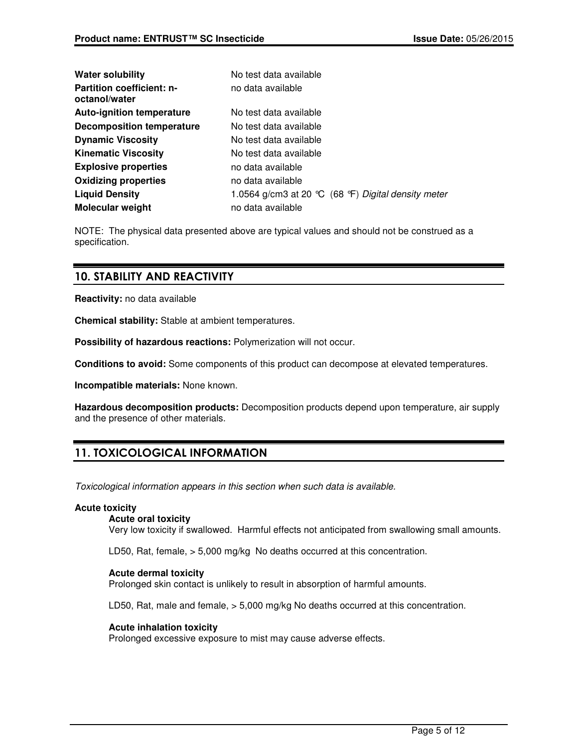| <b>Water solubility</b>                           | No test data available                                                |
|---------------------------------------------------|-----------------------------------------------------------------------|
| <b>Partition coefficient: n-</b><br>octanol/water | no data available                                                     |
| <b>Auto-ignition temperature</b>                  | No test data available                                                |
| <b>Decomposition temperature</b>                  | No test data available                                                |
| <b>Dynamic Viscosity</b>                          | No test data available                                                |
| <b>Kinematic Viscosity</b>                        | No test data available                                                |
| <b>Explosive properties</b>                       | no data available                                                     |
| <b>Oxidizing properties</b>                       | no data available                                                     |
| <b>Liquid Density</b>                             | 1.0564 g/cm3 at 20 $\degree$ C (68 $\degree$ F) Digital density meter |
| <b>Molecular weight</b>                           | no data available                                                     |

NOTE: The physical data presented above are typical values and should not be construed as a specification.

# 10. STABILITY AND REACTIVITY

**Reactivity:** no data available

**Chemical stability:** Stable at ambient temperatures.

**Possibility of hazardous reactions:** Polymerization will not occur.

**Conditions to avoid:** Some components of this product can decompose at elevated temperatures.

**Incompatible materials:** None known.

**Hazardous decomposition products:** Decomposition products depend upon temperature, air supply and the presence of other materials.

# 11. TOXICOLOGICAL INFORMATION

Toxicological information appears in this section when such data is available.

#### **Acute toxicity**

#### **Acute oral toxicity**

Very low toxicity if swallowed. Harmful effects not anticipated from swallowing small amounts.

LD50, Rat, female, > 5,000 mg/kg No deaths occurred at this concentration.

# **Acute dermal toxicity**

Prolonged skin contact is unlikely to result in absorption of harmful amounts.

LD50, Rat, male and female, > 5,000 mg/kg No deaths occurred at this concentration.

#### **Acute inhalation toxicity**

Prolonged excessive exposure to mist may cause adverse effects.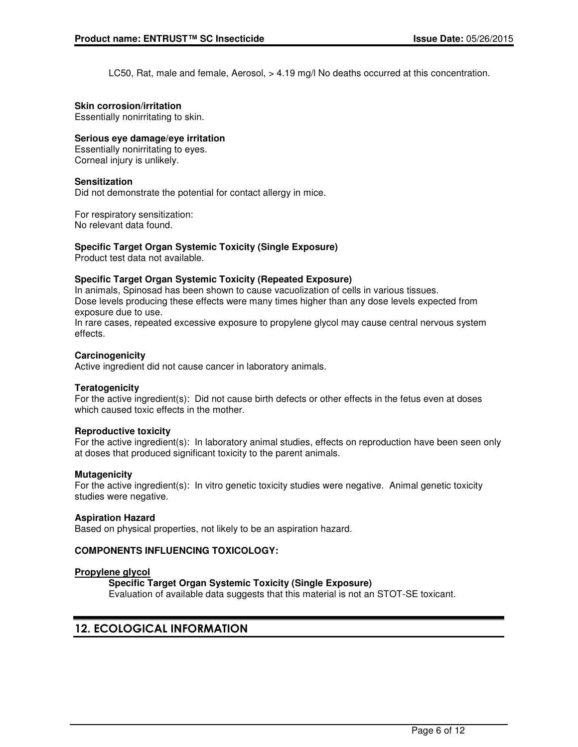LC50, Rat, male and female, Aerosol, > 4.19 mg/l No deaths occurred at this concentration.

#### **Skin corrosion/irritation**

Essentially nonirritating to skin.

## **Serious eye damage/eye irritation**

Essentially nonirritating to eyes. Corneal injury is unlikely.

#### **Sensitization**

Did not demonstrate the potential for contact allergy in mice.

For respiratory sensitization: No relevant data found.

## **Specific Target Organ Systemic Toxicity (Single Exposure)**

Product test data not available.

#### **Specific Target Organ Systemic Toxicity (Repeated Exposure)**

In animals, Spinosad has been shown to cause vacuolization of cells in various tissues. Dose levels producing these effects were many times higher than any dose levels expected from exposure due to use.

In rare cases, repeated excessive exposure to propylene glycol may cause central nervous system effects.

#### **Carcinogenicity**

Active ingredient did not cause cancer in laboratory animals.

#### **Teratogenicity**

For the active ingredient(s): Did not cause birth defects or other effects in the fetus even at doses which caused toxic effects in the mother.

#### **Reproductive toxicity**

For the active ingredient(s): In laboratory animal studies, effects on reproduction have been seen only at doses that produced significant toxicity to the parent animals.

#### **Mutagenicity**

For the active ingredient(s): In vitro genetic toxicity studies were negative. Animal genetic toxicity studies were negative.

#### **Aspiration Hazard**

Based on physical properties, not likely to be an aspiration hazard.

#### **COMPONENTS INFLUENCING TOXICOLOGY:**

#### **Propylene glycol**

#### **Specific Target Organ Systemic Toxicity (Single Exposure)**

Evaluation of available data suggests that this material is not an STOT-SE toxicant.

# 12. ECOLOGICAL INFORMATION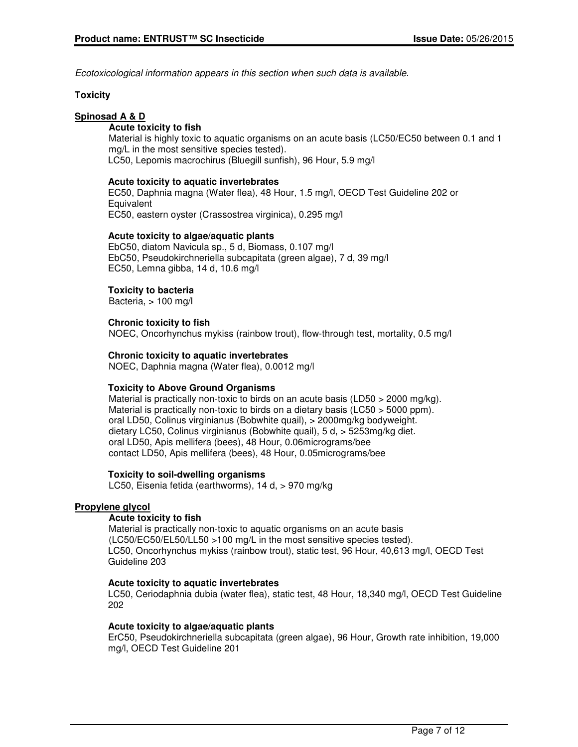Ecotoxicological information appears in this section when such data is available.

## **Toxicity**

# **Spinosad A & D**

## **Acute toxicity to fish**

Material is highly toxic to aquatic organisms on an acute basis (LC50/EC50 between 0.1 and 1 mg/L in the most sensitive species tested). LC50, Lepomis macrochirus (Bluegill sunfish), 96 Hour, 5.9 mg/l

#### **Acute toxicity to aquatic invertebrates**

EC50, Daphnia magna (Water flea), 48 Hour, 1.5 mg/l, OECD Test Guideline 202 or **Equivalent** EC50, eastern oyster (Crassostrea virginica), 0.295 mg/l

## **Acute toxicity to algae/aquatic plants**

EbC50, diatom Navicula sp., 5 d, Biomass, 0.107 mg/l EbC50, Pseudokirchneriella subcapitata (green algae), 7 d, 39 mg/l EC50, Lemna gibba, 14 d, 10.6 mg/l

# **Toxicity to bacteria**

Bacteria, > 100 mg/l

## **Chronic toxicity to fish**

NOEC, Oncorhynchus mykiss (rainbow trout), flow-through test, mortality, 0.5 mg/l

## **Chronic toxicity to aquatic invertebrates**

NOEC, Daphnia magna (Water flea), 0.0012 mg/l

#### **Toxicity to Above Ground Organisms**

Material is practically non-toxic to birds on an acute basis (LD50  $>$  2000 mg/kg). Material is practically non-toxic to birds on a dietary basis (LC50 > 5000 ppm). oral LD50, Colinus virginianus (Bobwhite quail), > 2000mg/kg bodyweight. dietary LC50, Colinus virginianus (Bobwhite quail), 5 d, > 5253mg/kg diet. oral LD50, Apis mellifera (bees), 48 Hour, 0.06micrograms/bee contact LD50, Apis mellifera (bees), 48 Hour, 0.05micrograms/bee

#### **Toxicity to soil-dwelling organisms**

LC50, Eisenia fetida (earthworms), 14 d, > 970 mg/kg

#### **Propylene glycol**

#### **Acute toxicity to fish**

Material is practically non-toxic to aquatic organisms on an acute basis (LC50/EC50/EL50/LL50 >100 mg/L in the most sensitive species tested). LC50, Oncorhynchus mykiss (rainbow trout), static test, 96 Hour, 40,613 mg/l, OECD Test Guideline 203

#### **Acute toxicity to aquatic invertebrates**

LC50, Ceriodaphnia dubia (water flea), static test, 48 Hour, 18,340 mg/l, OECD Test Guideline 202

#### **Acute toxicity to algae/aquatic plants**

ErC50, Pseudokirchneriella subcapitata (green algae), 96 Hour, Growth rate inhibition, 19,000 mg/l, OECD Test Guideline 201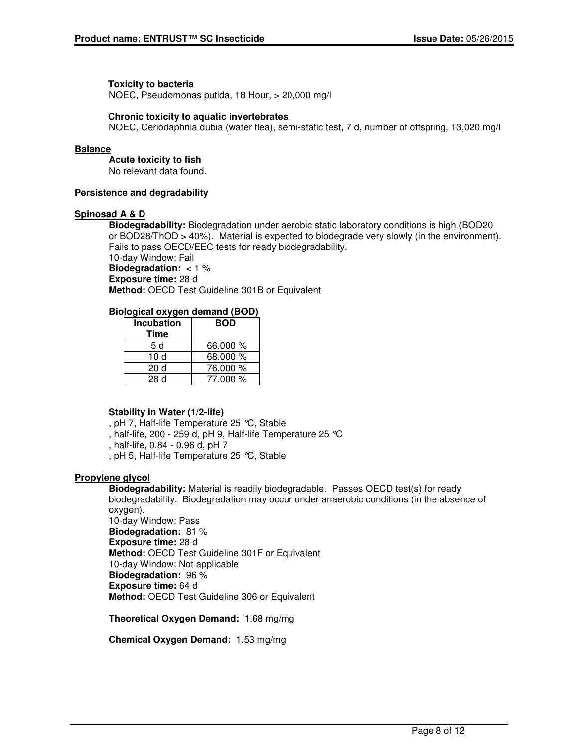#### **Toxicity to bacteria**

NOEC, Pseudomonas putida, 18 Hour, > 20,000 mg/l

#### **Chronic toxicity to aquatic invertebrates**

NOEC, Ceriodaphnia dubia (water flea), semi-static test, 7 d, number of offspring, 13,020 mg/l

#### **Balance**

**Acute toxicity to fish** No relevant data found.

**Persistence and degradability**

#### **Spinosad A & D**

**Biodegradability:** Biodegradation under aerobic static laboratory conditions is high (BOD20 or BOD28/ThOD > 40%). Material is expected to biodegrade very slowly (in the environment). Fails to pass OECD/EEC tests for ready biodegradability. 10-day Window: Fail **Biodegradation:** < 1 % **Exposure time:** 28 d **Method:** OECD Test Guideline 301B or Equivalent

## **Biological oxygen demand (BOD)**

| <b>Incubation</b> | <b>BOD</b> |
|-------------------|------------|
| Time              |            |
| 5 d               | 66,000 %   |
| 10 d              | 68.000 %   |
| 20d               | 76.000 %   |
| 28d               | 77.000 %   |

#### **Stability in Water (1/2-life)**

, pH 7, Half-life Temperature 25 °C, Stable

, half-life, 200 - 259 d, pH 9, Half-life Temperature 25 °C

, half-life, 0.84 - 0.96 d, pH 7

, pH 5, Half-life Temperature 25 °C, Stable

#### **Propylene glycol**

**Biodegradability:** Material is readily biodegradable. Passes OECD test(s) for ready biodegradability. Biodegradation may occur under anaerobic conditions (in the absence of oxygen).

10-day Window: Pass **Biodegradation:** 81 % **Exposure time:** 28 d **Method:** OECD Test Guideline 301F or Equivalent 10-day Window: Not applicable **Biodegradation:** 96 % **Exposure time:** 64 d **Method:** OECD Test Guideline 306 or Equivalent

**Theoretical Oxygen Demand:** 1.68 mg/mg

**Chemical Oxygen Demand:** 1.53 mg/mg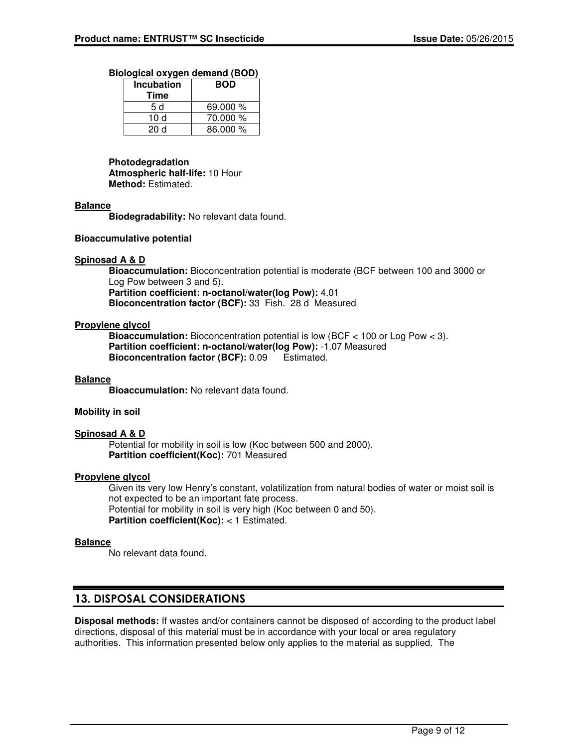#### **Biological oxygen demand (BOD)**

| <b>Incubation</b><br>Time | <b>BOD</b> |
|---------------------------|------------|
| 5 d                       | 69.000 %   |
| 10 d                      | 70.000 %   |
| 20 d                      | 86.000 %   |

# **Photodegradation**

**Atmospheric half-life:** 10 Hour **Method:** Estimated.

#### **Balance**

**Biodegradability:** No relevant data found.

## **Bioaccumulative potential**

## **Spinosad A & D**

**Bioaccumulation:** Bioconcentration potential is moderate (BCF between 100 and 3000 or Log Pow between 3 and 5). **Partition coefficient: n-octanol/water(log Pow):** 4.01 **Bioconcentration factor (BCF):** 33 Fish. 28 d Measured

## **Propylene glycol**

**Bioaccumulation:** Bioconcentration potential is low (BCF < 100 or Log Pow < 3). **Partition coefficient: n-octanol/water(log Pow):** -1.07 Measured **Bioconcentration factor (BCF):** 0.09 Estimated.

#### **Balance**

**Bioaccumulation:** No relevant data found.

## **Mobility in soil**

#### **Spinosad A & D**

Potential for mobility in soil is low (Koc between 500 and 2000). **Partition coefficient(Koc):** 701 Measured

# **Propylene glycol**

Given its very low Henry's constant, volatilization from natural bodies of water or moist soil is not expected to be an important fate process. Potential for mobility in soil is very high (Koc between 0 and 50). **Partition coefficient(Koc):** < 1 Estimated.

#### **Balance**

No relevant data found.

# 13. DISPOSAL CONSIDERATIONS

**Disposal methods:** If wastes and/or containers cannot be disposed of according to the product label directions, disposal of this material must be in accordance with your local or area regulatory authorities. This information presented below only applies to the material as supplied. The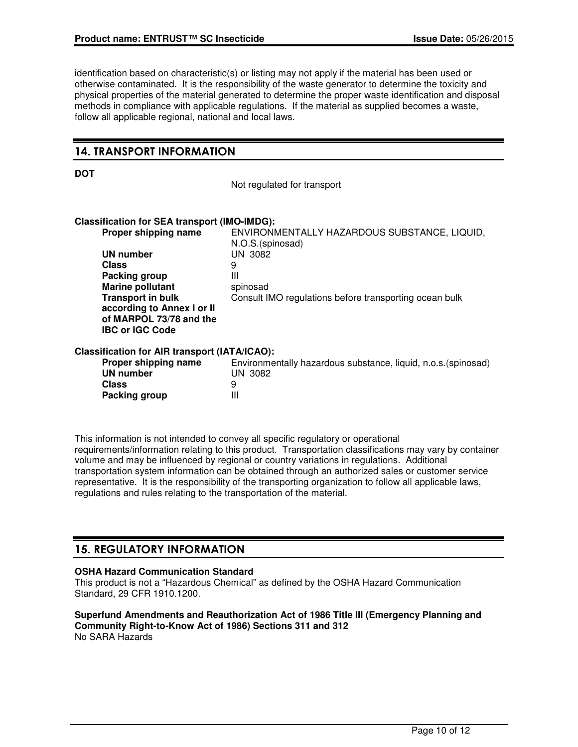identification based on characteristic(s) or listing may not apply if the material has been used or otherwise contaminated. It is the responsibility of the waste generator to determine the toxicity and physical properties of the material generated to determine the proper waste identification and disposal methods in compliance with applicable regulations. If the material as supplied becomes a waste, follow all applicable regional, national and local laws.

# 14. TRANSPORT INFORMATION

**DOT**

Not regulated for transport

#### **Classification for SEA transport (IMO-IMDG):**

| Proper shipping name                          | ENVIRONMENTALLY HAZARDOUS SUBSTANCE, LIQUID,<br>N.O.S.(spinosad) |
|-----------------------------------------------|------------------------------------------------------------------|
| UN number                                     | UN 3082                                                          |
| <b>Class</b>                                  | 9                                                                |
| Packing group                                 | Ш                                                                |
| <b>Marine pollutant</b>                       | spinosad                                                         |
| <b>Transport in bulk</b>                      | Consult IMO regulations before transporting ocean bulk           |
| according to Annex I or II                    |                                                                  |
| of MARPOL 73/78 and the                       |                                                                  |
| <b>IBC or IGC Code</b>                        |                                                                  |
| Classification for AIR transport (IATA/ICAO): |                                                                  |
| Proper shipping name                          | Environmentally hazardous substance, liquid, n.o.s. (spinosad)   |
| UN number                                     | UN 3082                                                          |
| <b>Class</b>                                  | 9                                                                |
| Packing group                                 | Ш                                                                |

This information is not intended to convey all specific regulatory or operational requirements/information relating to this product. Transportation classifications may vary by container volume and may be influenced by regional or country variations in regulations. Additional transportation system information can be obtained through an authorized sales or customer service representative. It is the responsibility of the transporting organization to follow all applicable laws, regulations and rules relating to the transportation of the material.

# 15. REGULATORY INFORMATION

# **OSHA Hazard Communication Standard**

This product is not a "Hazardous Chemical" as defined by the OSHA Hazard Communication Standard, 29 CFR 1910.1200.

#### **Superfund Amendments and Reauthorization Act of 1986 Title III (Emergency Planning and Community Right-to-Know Act of 1986) Sections 311 and 312** No SARA Hazards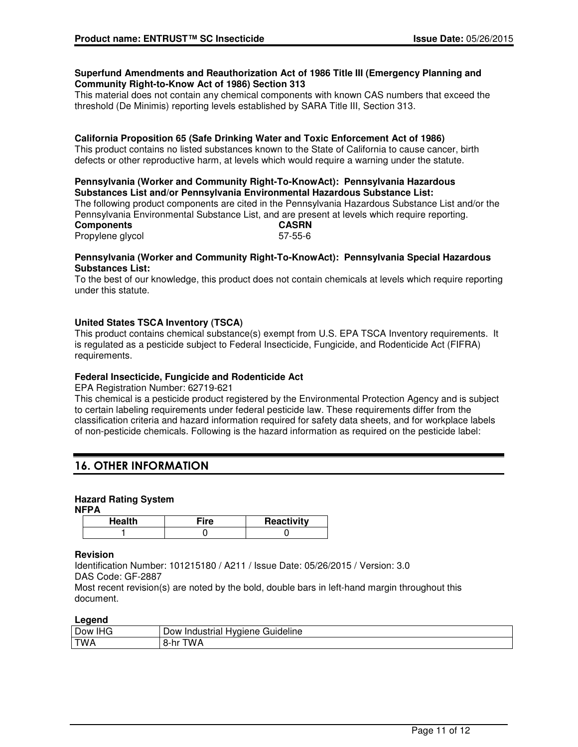#### **Superfund Amendments and Reauthorization Act of 1986 Title III (Emergency Planning and Community Right-to-Know Act of 1986) Section 313**

This material does not contain any chemical components with known CAS numbers that exceed the threshold (De Minimis) reporting levels established by SARA Title III, Section 313.

## **California Proposition 65 (Safe Drinking Water and Toxic Enforcement Act of 1986)**

This product contains no listed substances known to the State of California to cause cancer, birth defects or other reproductive harm, at levels which would require a warning under the statute.

#### **Pennsylvania (Worker and Community Right-To-KnowAct): Pennsylvania Hazardous Substances List and/or Pennsylvania Environmental Hazardous Substance List:**

The following product components are cited in the Pennsylvania Hazardous Substance List and/or the Pennsylvania Environmental Substance List, and are present at levels which require reporting. **Components CASRN** Propylene glycol 67-55-6

## **Pennsylvania (Worker and Community Right-To-KnowAct): Pennsylvania Special Hazardous Substances List:**

To the best of our knowledge, this product does not contain chemicals at levels which require reporting under this statute.

# **United States TSCA Inventory (TSCA)**

This product contains chemical substance(s) exempt from U.S. EPA TSCA Inventory requirements. It is regulated as a pesticide subject to Federal Insecticide, Fungicide, and Rodenticide Act (FIFRA) requirements.

# **Federal Insecticide, Fungicide and Rodenticide Act**

EPA Registration Number: 62719-621

This chemical is a pesticide product registered by the Environmental Protection Agency and is subject to certain labeling requirements under federal pesticide law. These requirements differ from the classification criteria and hazard information required for safety data sheets, and for workplace labels of non-pesticide chemicals. Following is the hazard information as required on the pesticide label:

# 16. OTHER INFORMATION

# **Hazard Rating System**

**NFPA**

| Health | Reactivity |
|--------|------------|
|        |            |

#### **Revision**

Identification Number: 101215180 / A211 / Issue Date: 05/26/2015 / Version: 3.0 DAS Code: GF-2887

Most recent revision(s) are noted by the bold, double bars in left-hand margin throughout this document.

#### **Legend**

| Ð<br>$\sim$<br>Dow<br>טרוו | $-1$<br>' iuideline<br>Hvaiene<br>Indusi<br>JOW<br>Πа |
|----------------------------|-------------------------------------------------------|
| <b>TWA</b>                 | w<br><br>ว-เแ<br>-                                    |